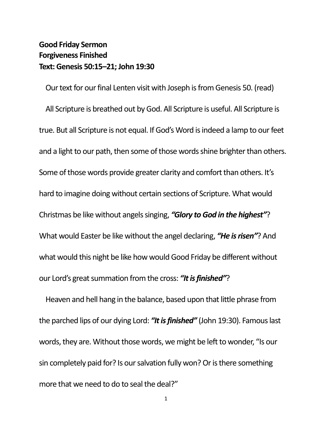## **Good Friday Sermon Forgiveness Finished Text: Genesis 50:15–21; John 19:30**

Our text for our final Lenten visit with Joseph is from Genesis 50. (read) All Scripture is breathed out by God. All Scripture is useful. All Scripture is true. But all Scripture is not equal. If God's Word is indeed a lamp to our feet and a light to our path, then some of those words shine brighter than others. Some of those words provide greater clarity and comfort than others. It's hard to imagine doing without certain sections of Scripture. What would Christmas be like without angels singing, *"Glory to God in the highest"*? What would Easter be like without the angel declaring, *"He is risen"*? And what would this night be like how would Good Friday be different without our Lord's great summation from the cross: *"It is finished"*?

Heaven and hell hang in the balance, based upon that little phrase from the parched lips of our dying Lord: *"It is finished"* (John 19:30). Famous last words, they are. Without those words, we might be left to wonder, "Is our sin completely paid for? Is our salvation fully won? Or is there something more that we need to do to seal the deal?"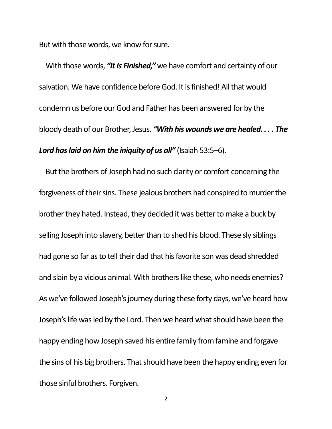But with those words, we know for sure.

With those words, *"It Is Finished,"* we have comfort and certainty of our salvation. We have confidence before God. It is finished! All that would condemn us before our God and Father has been answered for by the bloody death of our Brother, Jesus. *"With his wounds we are healed. . . . The Lord has laid on him the iniquity of us all"* (Isaiah 53:5–6).

But the brothers of Joseph had no such clarity or comfort concerning the forgiveness of their sins. These jealous brothers had conspired to murder the brother they hated. Instead, they decided it was better to make a buck by selling Joseph into slavery, better than to shed his blood. These sly siblings had gone so far as to tell their dad that his favorite son was dead shredded and slain by a vicious animal. With brothers like these, who needs enemies? As we've followed Joseph's journey during these forty days, we've heard how Joseph's life was led by the Lord. Then we heard what should have been the happy ending how Joseph saved his entire family from famine and forgave the sins of his big brothers. That should have been the happy ending even for those sinful brothers. Forgiven.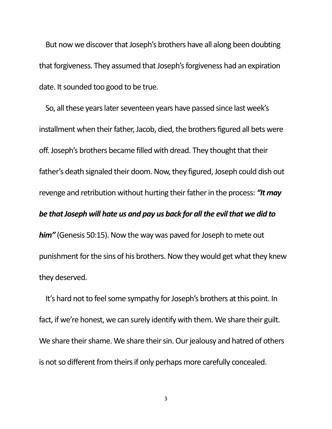But now we discover that Joseph's brothers have all along been doubting that forgiveness. They assumed that Joseph's forgiveness had an expiration date. It sounded too good to be true.

So, all these years later seventeen years have passed since last week's installment when their father, Jacob, died, the brothers figured all bets were off. Joseph's brothers became filled with dread. They thought that their father's death signaled their doom. Now, they figured, Joseph could dish out revenge and retribution without hurting their father in the process: *"It may be that Joseph will hate us and pay us back for all the evil that we did to him"* (Genesis 50:15). Now the way was paved for Joseph to mete out punishment for the sins of his brothers. Now they would get what they knew they deserved.

It's hard not to feel some sympathy for Joseph's brothers at this point. In fact, if we're honest, we can surely identify with them. We share their guilt. We share their shame. We share their sin. Our jealousy and hatred of others is not so different from theirs if only perhaps more carefully concealed.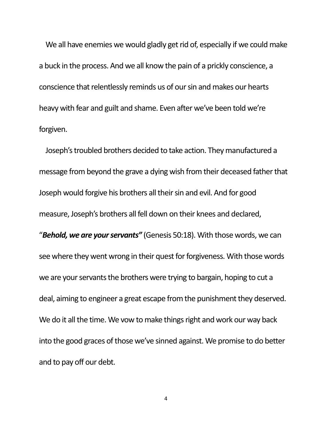We all have enemies we would gladly get rid of, especially if we could make a buck in the process. And we all know the pain of a prickly conscience, a conscience that relentlessly reminds us of our sin and makes our hearts heavy with fear and guilt and shame. Even after we've been told we're forgiven.

Joseph's troubled brothers decided to take action. They manufactured a message from beyond the grave a dying wish from their deceased father that Joseph would forgive his brothers all their sin and evil. And for good measure, Joseph's brothers all fell down on their knees and declared, "*Behold, we are your servants"* (Genesis 50:18). With those words, we can see where they went wrong in their quest for forgiveness. With those words we are your servants the brothers were trying to bargain, hoping to cut a deal, aiming to engineer a great escape from the punishment they deserved. We do it all the time. We vow to make things right and work our way back into the good graces of those we've sinned against. We promise to do better and to pay off our debt.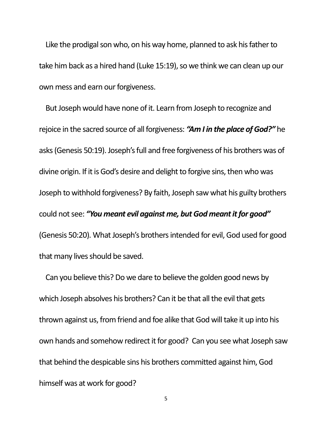Like the prodigal son who, on his way home, planned to ask his father to take him back as a hired hand (Luke 15:19), so we think we can clean up our own mess and earn our forgiveness.

But Joseph would have none of it. Learn from Joseph to recognize and rejoice in the sacred source of all forgiveness: *"Am I in the place of God?"* he asks (Genesis 50:19). Joseph's full and free forgiveness of his brothers was of divine origin. If it is God's desire and delight to forgive sins, then who was Joseph to withhold forgiveness? By faith, Joseph saw what his guilty brothers could not see: *"You meant evil against me, but God meant it for good"* (Genesis 50:20). What Joseph's brothers intended for evil, God used for good that many lives should be saved.

Can you believe this? Do we dare to believe the golden good news by which Joseph absolves his brothers? Can it be that all the evil that gets thrown against us, from friend and foe alike that God will take it up into his own hands and somehow redirect it for good? Can you see what Joseph saw that behind the despicable sins his brothers committed against him, God himself was at work for good?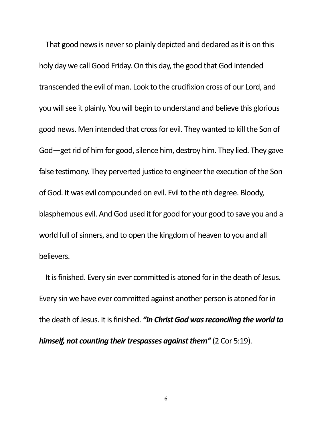That good news is never so plainly depicted and declared as it is on this holy day we call Good Friday. On this day, the good that God intended transcended the evil of man. Look to the crucifixion cross of our Lord, and you will see it plainly. You will begin to understand and believe this glorious good news. Men intended that cross for evil. They wanted to kill the Son of God—get rid of him for good, silence him, destroy him. They lied. They gave false testimony. They perverted justice to engineer the execution of the Son of God. It was evil compounded on evil. Evil to the nth degree. Bloody, blasphemous evil. And God used it for good for your good to save you and a world full of sinners, and to open the kingdom of heaven to you and all believers.

It is finished. Every sin ever committed is atoned for in the death of Jesus. Every sin we have ever committed against another person is atoned forin the death of Jesus. It is finished. *"In Christ God was reconciling the world to himself, not counting their trespasses against them"* (2 Cor 5:19).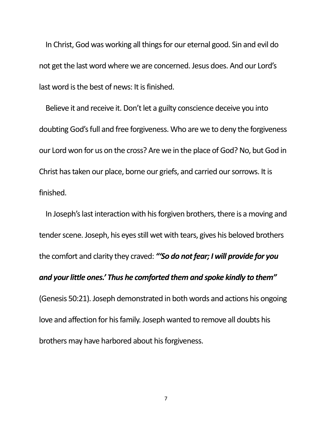In Christ, God was working all things for our eternal good. Sin and evil do not get the last word where we are concerned. Jesus does. And our Lord's last word is the best of news: It is finished.

Believe it and receive it. Don't let a guilty conscience deceive you into doubting God's full and free forgiveness. Who are we to deny the forgiveness our Lord won for us on the cross? Are we in the place of God? No, but God in Christ has taken our place, borne our griefs, and carried our sorrows. It is finished.

In Joseph's last interaction with his forgiven brothers, there is a moving and tender scene. Joseph, his eyes still wet with tears, gives his beloved brothers the comfort and clarity they craved: *"'So do not fear; I will provide for you and your little ones.' Thus he comforted them and spoke kindly to them"*  (Genesis 50:21). Joseph demonstrated in both words and actions his ongoing love and affection for his family. Joseph wanted to remove all doubts his brothers may have harbored about his forgiveness.